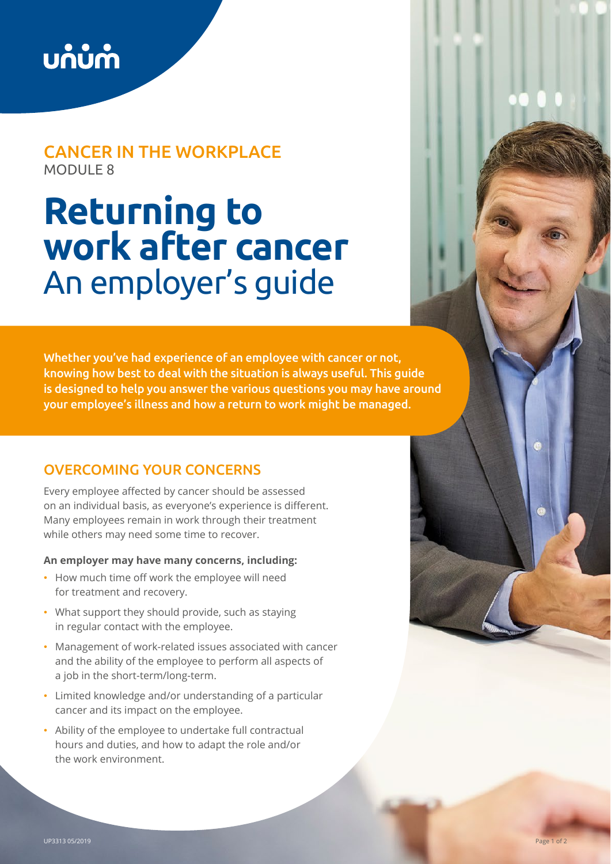

## CANCER IN THE WORKPLACE MODULE 8

# **Returning to work after cancer**  An employer's guide

Whether you've had experience of an employee with cancer or not, knowing how best to deal with the situation is always useful. This guide is designed to help you answer the various questions you may have around your employee's illness and how a return to work might be managed.

## OVERCOMING YOUR CONCERNS

Every employee affected by cancer should be assessed on an individual basis, as everyone's experience is different. Many employees remain in work through their treatment while others may need some time to recover.

#### **An employer may have many concerns, including:**

- How much time off work the employee will need for treatment and recovery.
- What support they should provide, such as staying in regular contact with the employee.
- Management of work-related issues associated with cancer and the ability of the employee to perform all aspects of a job in the short-term/long-term.
- Limited knowledge and/or understanding of a particular cancer and its impact on the employee.
- Ability of the employee to undertake full contractual hours and duties, and how to adapt the role and/or the work environment.